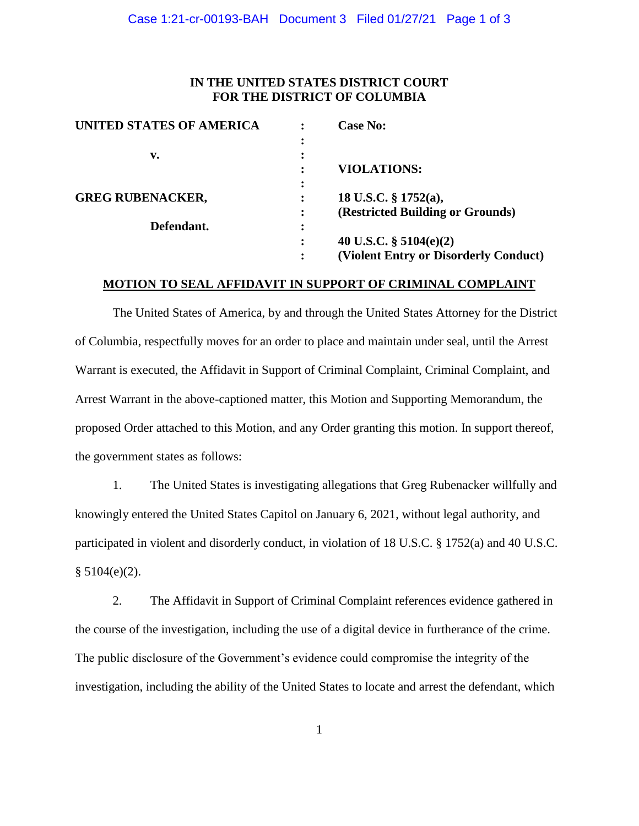# **IN THE UNITED STATES DISTRICT COURT FOR THE DISTRICT OF COLUMBIA**

| <b>UNITED STATES OF AMERICA</b> |                | <b>Case No:</b>                       |
|---------------------------------|----------------|---------------------------------------|
|                                 | ٠              |                                       |
| v.                              | ٠<br>$\bullet$ |                                       |
|                                 | ٠              | <b>VIOLATIONS:</b>                    |
|                                 | ٠<br>٠         |                                       |
| <b>GREG RUBENACKER,</b>         |                | 18 U.S.C. § 1752(a),                  |
|                                 | ٠<br>٠         | (Restricted Building or Grounds)      |
| Defendant.                      | ٠<br>$\bullet$ |                                       |
|                                 | ٠              | 40 U.S.C. $\S$ 5104(e)(2)             |
|                                 | ٠              | (Violent Entry or Disorderly Conduct) |

### **MOTION TO SEAL AFFIDAVIT IN SUPPORT OF CRIMINAL COMPLAINT**

The United States of America, by and through the United States Attorney for the District of Columbia, respectfully moves for an order to place and maintain under seal, until the Arrest Warrant is executed, the Affidavit in Support of Criminal Complaint, Criminal Complaint, and Arrest Warrant in the above-captioned matter, this Motion and Supporting Memorandum, the proposed Order attached to this Motion, and any Order granting this motion. In support thereof, the government states as follows:

1. The United States is investigating allegations that Greg Rubenacker willfully and knowingly entered the United States Capitol on January 6, 2021, without legal authority, and participated in violent and disorderly conduct, in violation of 18 U.S.C. § 1752(a) and 40 U.S.C.  $§ 5104(e)(2).$ 

2. The Affidavit in Support of Criminal Complaint references evidence gathered in the course of the investigation, including the use of a digital device in furtherance of the crime. The public disclosure of the Government's evidence could compromise the integrity of the investigation, including the ability of the United States to locate and arrest the defendant, which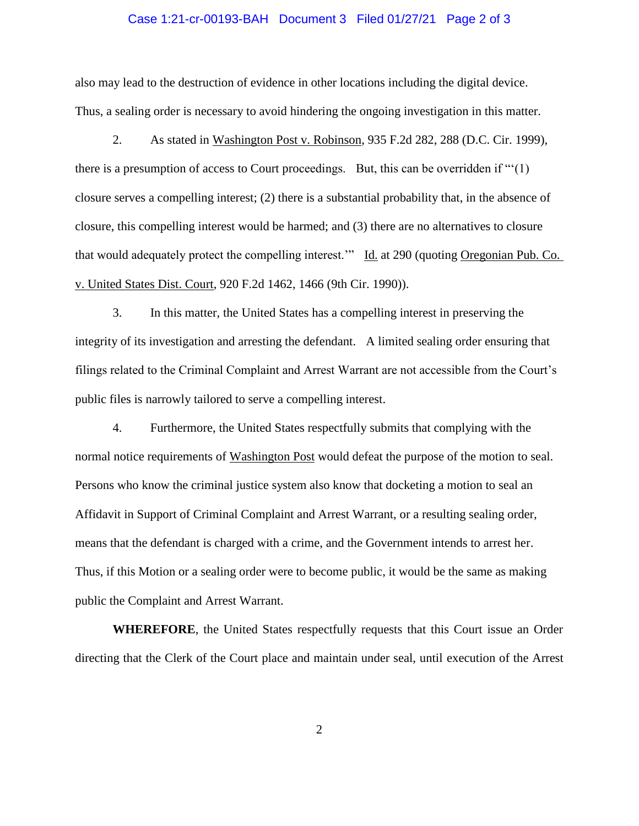### Case 1:21-cr-00193-BAH Document 3 Filed 01/27/21 Page 2 of 3

also may lead to the destruction of evidence in other locations including the digital device. Thus, a sealing order is necessary to avoid hindering the ongoing investigation in this matter.

2. As stated in Washington Post v. Robinson, 935 F.2d 282, 288 (D.C. Cir. 1999), there is a presumption of access to Court proceedings. But, this can be overridden if "'(1) closure serves a compelling interest; (2) there is a substantial probability that, in the absence of closure, this compelling interest would be harmed; and (3) there are no alternatives to closure that would adequately protect the compelling interest." Id. at 290 (quoting Oregonian Pub. Co. v. United States Dist. Court, 920 F.2d 1462, 1466 (9th Cir. 1990)).

3. In this matter, the United States has a compelling interest in preserving the integrity of its investigation and arresting the defendant. A limited sealing order ensuring that filings related to the Criminal Complaint and Arrest Warrant are not accessible from the Court's public files is narrowly tailored to serve a compelling interest.

4. Furthermore, the United States respectfully submits that complying with the normal notice requirements of Washington Post would defeat the purpose of the motion to seal. Persons who know the criminal justice system also know that docketing a motion to seal an Affidavit in Support of Criminal Complaint and Arrest Warrant, or a resulting sealing order, means that the defendant is charged with a crime, and the Government intends to arrest her. Thus, if this Motion or a sealing order were to become public, it would be the same as making public the Complaint and Arrest Warrant.

**WHEREFORE**, the United States respectfully requests that this Court issue an Order directing that the Clerk of the Court place and maintain under seal, until execution of the Arrest

2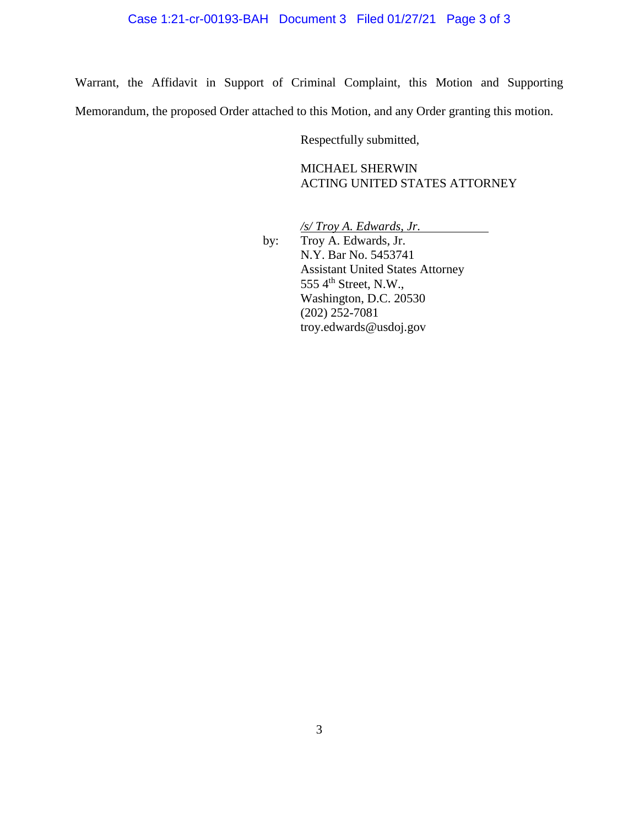Warrant, the Affidavit in Support of Criminal Complaint, this Motion and Supporting Memorandum, the proposed Order attached to this Motion, and any Order granting this motion.

Respectfully submitted,

MICHAEL SHERWIN ACTING UNITED STATES ATTORNEY

*/s/ Troy A. Edwards, Jr.*

by: Troy A. Edwards, Jr. N.Y. Bar No. 5453741 Assistant United States Attorney  $5554<sup>th</sup> Street, N.W.,$ Washington, D.C. 20530 (202) 252-7081 troy.edwards@usdoj.gov